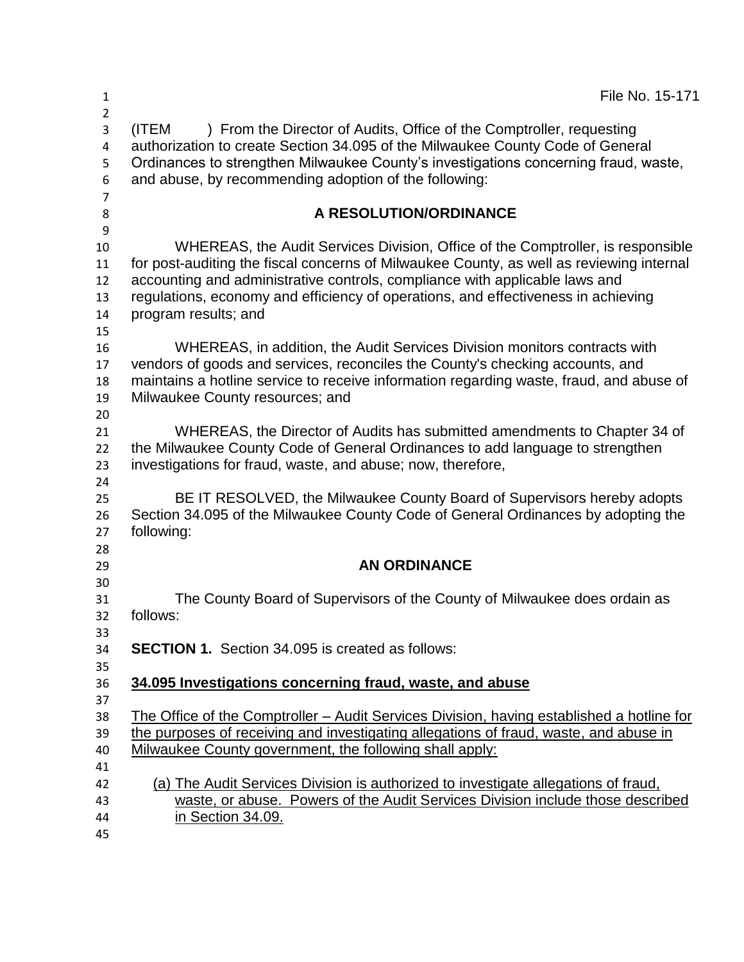| 1                                  | File No. 15-171                                                                                                                                                                                                                                                                                                                                 |
|------------------------------------|-------------------------------------------------------------------------------------------------------------------------------------------------------------------------------------------------------------------------------------------------------------------------------------------------------------------------------------------------|
| $\overline{2}$<br>3<br>4<br>5<br>6 | ) From the Director of Audits, Office of the Comptroller, requesting<br>(ITEM<br>authorization to create Section 34.095 of the Milwaukee County Code of General<br>Ordinances to strengthen Milwaukee County's investigations concerning fraud, waste,<br>and abuse, by recommending adoption of the following:                                 |
| $\overline{7}$<br>8                | A RESOLUTION/ORDINANCE                                                                                                                                                                                                                                                                                                                          |
| 9                                  |                                                                                                                                                                                                                                                                                                                                                 |
| 10<br>11<br>12<br>13               | WHEREAS, the Audit Services Division, Office of the Comptroller, is responsible<br>for post-auditing the fiscal concerns of Milwaukee County, as well as reviewing internal<br>accounting and administrative controls, compliance with applicable laws and<br>regulations, economy and efficiency of operations, and effectiveness in achieving |
| 14<br>15                           | program results; and                                                                                                                                                                                                                                                                                                                            |
| 16<br>17<br>18<br>19<br>20         | WHEREAS, in addition, the Audit Services Division monitors contracts with<br>vendors of goods and services, reconciles the County's checking accounts, and<br>maintains a hotline service to receive information regarding waste, fraud, and abuse of<br>Milwaukee County resources; and                                                        |
| 21<br>22<br>23<br>24               | WHEREAS, the Director of Audits has submitted amendments to Chapter 34 of<br>the Milwaukee County Code of General Ordinances to add language to strengthen<br>investigations for fraud, waste, and abuse; now, therefore,                                                                                                                       |
| 25<br>26<br>27<br>28               | BE IT RESOLVED, the Milwaukee County Board of Supervisors hereby adopts<br>Section 34.095 of the Milwaukee County Code of General Ordinances by adopting the<br>following:                                                                                                                                                                      |
| 29                                 | <b>AN ORDINANCE</b>                                                                                                                                                                                                                                                                                                                             |
| 30<br>31<br>32                     | The County Board of Supervisors of the County of Milwaukee does ordain as<br>follows:                                                                                                                                                                                                                                                           |
| 33<br>34<br>35                     | <b>SECTION 1.</b> Section 34.095 is created as follows:                                                                                                                                                                                                                                                                                         |
| 36<br>37                           | 34.095 Investigations concerning fraud, waste, and abuse                                                                                                                                                                                                                                                                                        |
| 38<br>39<br>40                     | The Office of the Comptroller – Audit Services Division, having established a hotline for<br>the purposes of receiving and investigating allegations of fraud, waste, and abuse in<br>Milwaukee County government, the following shall apply:                                                                                                   |
| 41<br>42<br>43<br>44               | (a) The Audit Services Division is authorized to investigate allegations of fraud,<br>waste, or abuse. Powers of the Audit Services Division include those described<br>in Section 34.09.                                                                                                                                                       |
| 45                                 |                                                                                                                                                                                                                                                                                                                                                 |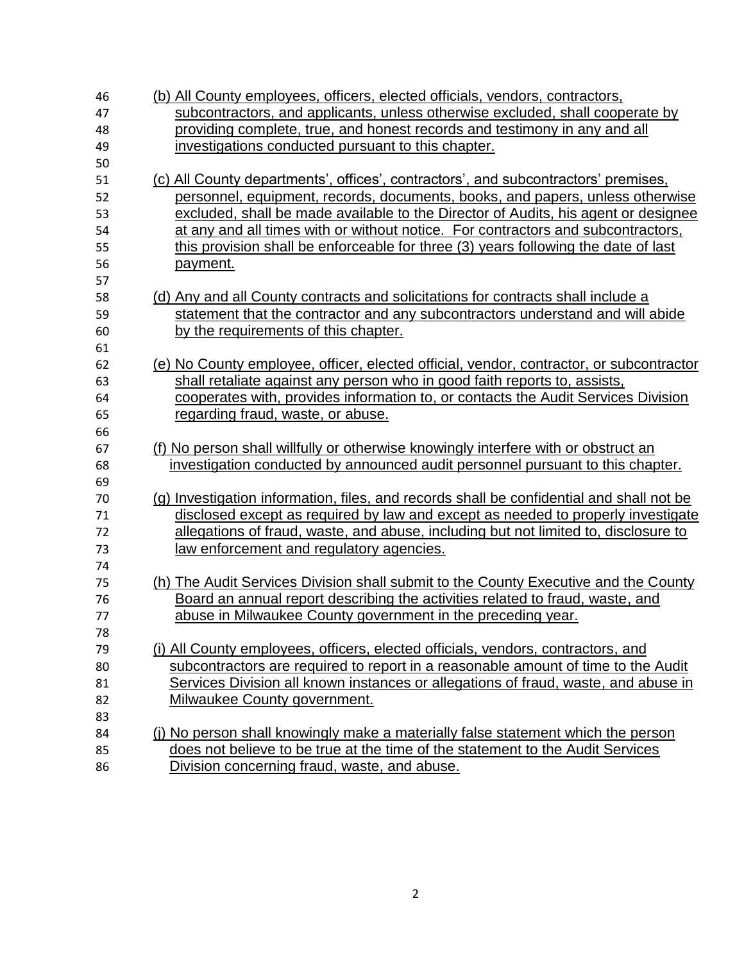| 46       | (b) All County employees, officers, elected officials, vendors, contractors,                                                   |
|----------|--------------------------------------------------------------------------------------------------------------------------------|
| 47       | subcontractors, and applicants, unless otherwise excluded, shall cooperate by                                                  |
| 48       | providing complete, true, and honest records and testimony in any and all                                                      |
| 49       | investigations conducted pursuant to this chapter.                                                                             |
| 50       |                                                                                                                                |
| 51       | (c) All County departments', offices', contractors', and subcontractors' premises,                                             |
| 52       | personnel, equipment, records, documents, books, and papers, unless otherwise                                                  |
| 53       | excluded, shall be made available to the Director of Audits, his agent or designee                                             |
| 54       | at any and all times with or without notice. For contractors and subcontractors,                                               |
| 55       | this provision shall be enforceable for three (3) years following the date of last                                             |
| 56       | payment.                                                                                                                       |
| 57       |                                                                                                                                |
| 58       | (d) Any and all County contracts and solicitations for contracts shall include a                                               |
| 59       | statement that the contractor and any subcontractors understand and will abide                                                 |
| 60       | by the requirements of this chapter.                                                                                           |
| 61       |                                                                                                                                |
| 62       | (e) No County employee, officer, elected official, vendor, contractor, or subcontractor                                        |
| 63       | shall retaliate against any person who in good faith reports to, assists,                                                      |
| 64       | cooperates with, provides information to, or contacts the Audit Services Division                                              |
| 65       | regarding fraud, waste, or abuse.                                                                                              |
| 66       |                                                                                                                                |
| 67       | (f) No person shall willfully or otherwise knowingly interfere with or obstruct an                                             |
|          |                                                                                                                                |
| 68       | investigation conducted by announced audit personnel pursuant to this chapter.                                                 |
| 69       |                                                                                                                                |
| 70       | (g) Investigation information, files, and records shall be confidential and shall not be                                       |
| 71       | disclosed except as required by law and except as needed to properly investigate                                               |
| 72       | allegations of fraud, waste, and abuse, including but not limited to, disclosure to                                            |
| 73       | <u>law enforcement and regulatory agencies.</u>                                                                                |
| 74       |                                                                                                                                |
| 75<br>76 | (h) The Audit Services Division shall submit to the County Executive and the County                                            |
| 77       | Board an annual report describing the activities related to fraud, waste, and                                                  |
|          | abuse in Milwaukee County government in the preceding year.                                                                    |
| 78<br>79 | (i) All County employees, officers, elected officials, vendors, contractors, and                                               |
| 80       | subcontractors are required to report in a reasonable amount of time to the Audit                                              |
| 81       | Services Division all known instances or allegations of fraud, waste, and abuse in                                             |
| 82       | Milwaukee County government.                                                                                                   |
| 83       |                                                                                                                                |
| 84       | (i) No person shall knowingly make a materially false statement which the person                                               |
| 85       | does not believe to be true at the time of the statement to the Audit Services<br>Division concerning fraud, waste, and abuse. |